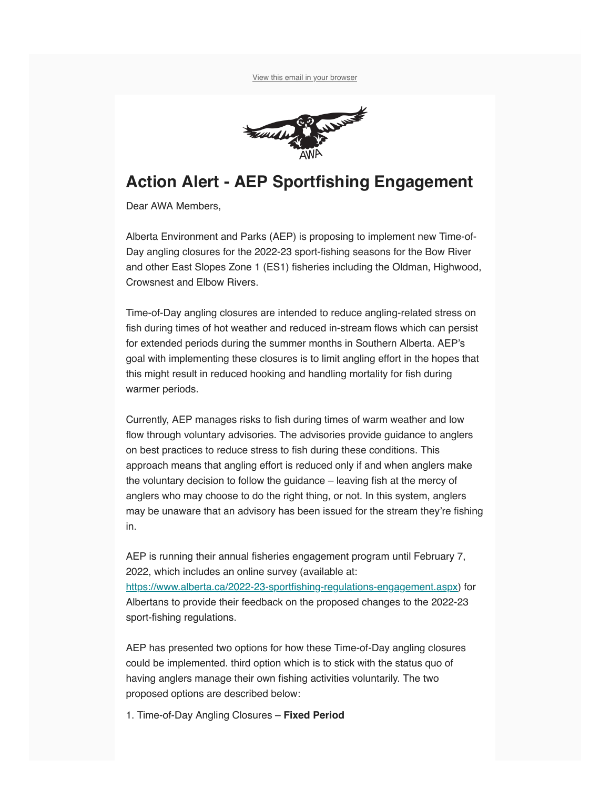

## **Action Alert - AEP Sportfishing Engagement**

Dear AWA Members,

Alberta Environment and Parks (AEP) is proposing to implement new Time-of-Day angling closures for the 2022-23 sport-fishing seasons for the Bow River and other East Slopes Zone 1 (ES1) fisheries including the Oldman, Highwood, Crowsnest and Elbow Rivers.

Time-of-Day angling closures are intended to reduce angling-related stress on fish during times of hot weather and reduced in-stream flows which can persist for extended periods during the summer months in Southern Alberta. AEP's goal with implementing these closures is to limit angling effort in the hopes that this might result in reduced hooking and handling mortality for fish during warmer periods.

Currently, AEP manages risks to fish during times of warm weather and low flow through voluntary advisories. The advisories provide guidance to anglers on best practices to reduce stress to fish during these conditions. This approach means that angling effort is reduced only if and when anglers make the voluntary decision to follow the guidance – leaving fish at the mercy of anglers who may choose to do the right thing, or not. In this system, anglers may be unaware that an advisory has been issued for the stream they're fishing in.

AEP is running their annual fisheries engagement program until February 7, 2022, which includes an online survey (available at:

<https://www.alberta.ca/2022-23-sportfishing-regulations-engagement.aspx>) for Albertans to provide their feedback on the proposed changes to the 2022-23 sport-fishing regulations.

AEP has presented two options for how these Time-of-Day angling closures could be implemented. third option which is to stick with the status quo of having anglers manage their own fishing activities voluntarily. The two proposed options are described below:

1. Time-of-Day Angling Closures – **Fixed Period**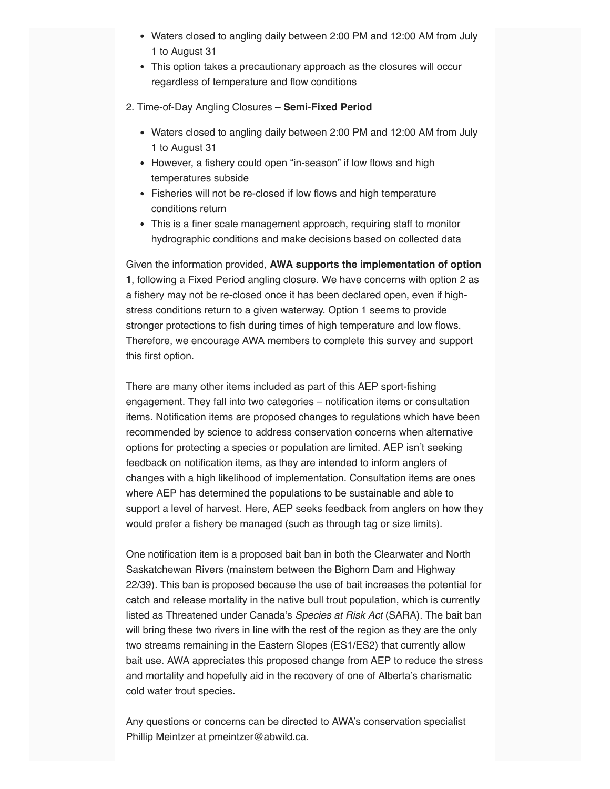- Waters closed to angling daily between 2:00 PM and 12:00 AM from July 1 to August 31
- This option takes a precautionary approach as the closures will occur regardless of temperature and flow conditions
- 2. Time-of-Day Angling Closures **Semi**-**Fixed Period**
	- Waters closed to angling daily between 2:00 PM and 12:00 AM from July 1 to August 31
	- However, a fishery could open "in-season" if low flows and high temperatures subside
	- Fisheries will not be re-closed if low flows and high temperature conditions return
	- This is a finer scale management approach, requiring staff to monitor hydrographic conditions and make decisions based on collected data

Given the information provided, **AWA supports the implementation of option 1**, following a Fixed Period angling closure. We have concerns with option 2 as a fishery may not be re-closed once it has been declared open, even if highstress conditions return to a given waterway. Option 1 seems to provide stronger protections to fish during times of high temperature and low flows. Therefore, we encourage AWA members to complete this survey and support this first option.

There are many other items included as part of this AEP sport-fishing engagement. They fall into two categories – notification items or consultation items. Notification items are proposed changes to regulations which have been recommended by science to address conservation concerns when alternative options for protecting a species or population are limited. AEP isn't seeking feedback on notification items, as they are intended to inform anglers of changes with a high likelihood of implementation. Consultation items are ones where AEP has determined the populations to be sustainable and able to support a level of harvest. Here, AEP seeks feedback from anglers on how they would prefer a fishery be managed (such as through tag or size limits).

One notification item is a proposed bait ban in both the Clearwater and North Saskatchewan Rivers (mainstem between the Bighorn Dam and Highway 22/39). This ban is proposed because the use of bait increases the potential for catch and release mortality in the native bull trout population, which is currently listed as Threatened under Canada's Species at Risk Act (SARA). The bait ban will bring these two rivers in line with the rest of the region as they are the only two streams remaining in the Eastern Slopes (ES1/ES2) that currently allow bait use. AWA appreciates this proposed change from AEP to reduce the stress and mortality and hopefully aid in the recovery of one of Alberta's charismatic cold water trout species.

Any questions or concerns can be directed to AWA's conservation specialist Phillip Meintzer at pmeintzer@abwild.ca.